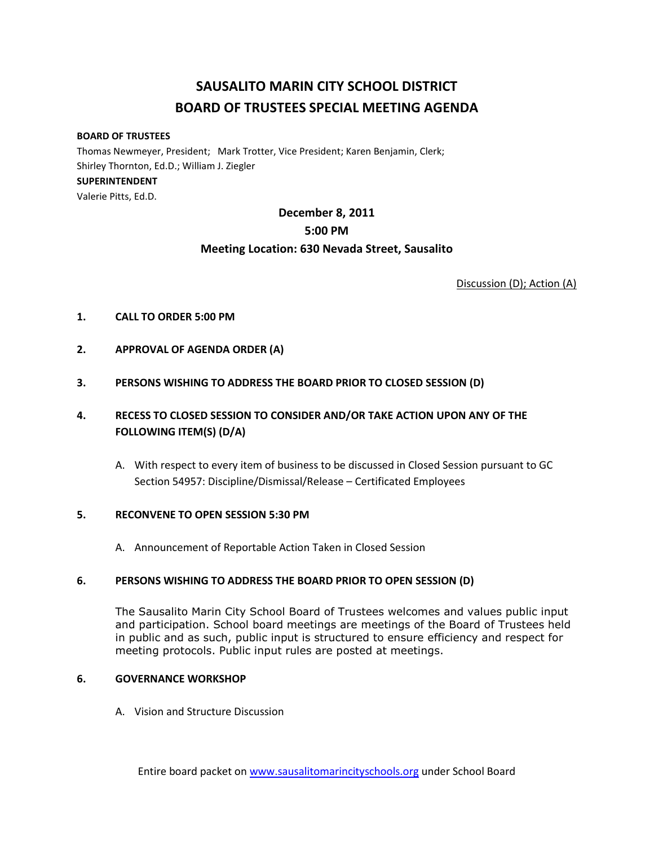# **SAUSALITO MARIN CITY SCHOOL DISTRICT BOARD OF TRUSTEES SPECIAL MEETING AGENDA**

#### **BOARD OF TRUSTEES**

Thomas Newmeyer, President; Mark Trotter, Vice President; Karen Benjamin, Clerk; Shirley Thornton, Ed.D.; William J. Ziegler **SUPERINTENDENT**  Valerie Pitts, Ed.D.

## **December 8, 2011 5:00 PM Meeting Location: 630 Nevada Street, Sausalito**

Discussion (D); Action (A)

- **1. CALL TO ORDER 5:00 PM**
- **2. APPROVAL OF AGENDA ORDER (A)**
- **3. PERSONS WISHING TO ADDRESS THE BOARD PRIOR TO CLOSED SESSION (D)**

## **4. RECESS TO CLOSED SESSION TO CONSIDER AND/OR TAKE ACTION UPON ANY OF THE FOLLOWING ITEM(S) (D/A)**

A. With respect to every item of business to be discussed in Closed Session pursuant to GC Section 54957: Discipline/Dismissal/Release – Certificated Employees

#### **5. RECONVENE TO OPEN SESSION 5:30 PM**

A. Announcement of Reportable Action Taken in Closed Session

#### **6. PERSONS WISHING TO ADDRESS THE BOARD PRIOR TO OPEN SESSION (D)**

The Sausalito Marin City School Board of Trustees welcomes and values public input and participation. School board meetings are meetings of the Board of Trustees held in public and as such, public input is structured to ensure efficiency and respect for meeting protocols. Public input rules are posted at meetings.

#### **6. GOVERNANCE WORKSHOP**

A. Vision and Structure Discussion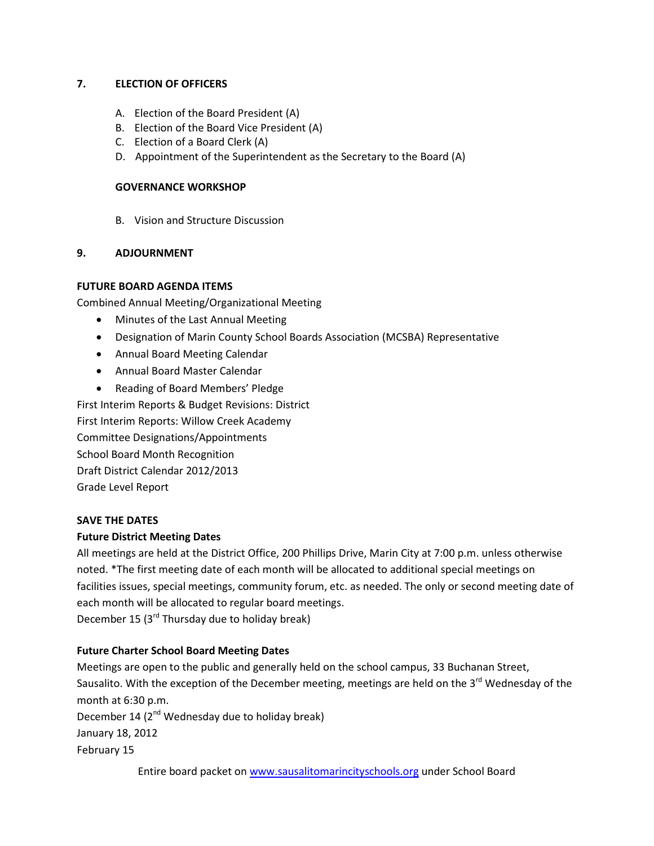## **7. ELECTION OF OFFICERS**

- A. Election of the Board President (A)
- B. Election of the Board Vice President (A)
- C. Election of a Board Clerk (A)
- D. Appointment of the Superintendent as the Secretary to the Board (A)

#### **GOVERNANCE WORKSHOP**

B. Vision and Structure Discussion

## **9. ADJOURNMENT**

## **FUTURE BOARD AGENDA ITEMS**

Combined Annual Meeting/Organizational Meeting

- Minutes of the Last Annual Meeting
- Designation of Marin County School Boards Association (MCSBA) Representative
- Annual Board Meeting Calendar
- Annual Board Master Calendar
- Reading of Board Members' Pledge

First Interim Reports & Budget Revisions: District First Interim Reports: Willow Creek Academy Committee Designations/Appointments School Board Month Recognition

Draft District Calendar 2012/2013

Grade Level Report

#### **SAVE THE DATES**

#### **Future District Meeting Dates**

All meetings are held at the District Office, 200 Phillips Drive, Marin City at 7:00 p.m. unless otherwise noted. \*The first meeting date of each month will be allocated to additional special meetings on facilities issues, special meetings, community forum, etc. as needed. The only or second meeting date of each month will be allocated to regular board meetings. December 15 ( $3<sup>rd</sup>$  Thursday due to holiday break)

#### **Future Charter School Board Meeting Dates**

Meetings are open to the public and generally held on the school campus, 33 Buchanan Street, Sausalito. With the exception of the December meeting, meetings are held on the 3<sup>rd</sup> Wednesday of the month at 6:30 p.m. December 14  $(2^{nd}$  Wednesday due to holiday break) January 18, 2012 February 15

Entire board packet on www.sausalitomarincityschools.org under School Board